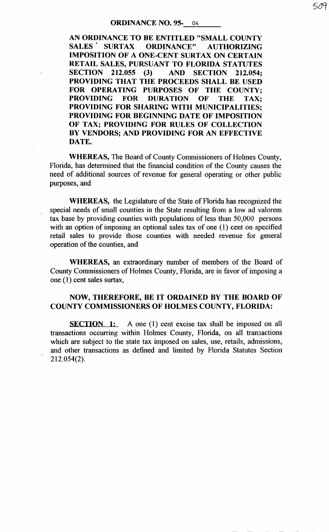## **ORDINANCE NO. 95-** 04

509

AN ORDINANCE TO BE ENTITLED "SMALL COUNTY<br>SALES TEURTAX DRDINANCE" AUTHORIZING SURTAX ORDINANCE" AUTHORIZING IMPOSITION OF A ONE-CENT SURTAX ON CERTAIN RETAIL SALES, PURSUANT TO FLORIDA STATUTES SECTION 212.055 (3) AND SECTION 212.054; PROVIDING THAT THE PROCEEDS SHALL BE USED FOR OPERATING PURPOSES OF THE COUNTY;<br>PROVIDING FOR DURATION OF THE TAX: DURATION OF THE TAX; PROVIDING FOR SHARING WITH MUNICIPALITIES; PROVIDING FOR BEGINNING DATE OF IMPOSITION OF TAX; PROVIDING FOR RULES OF COLLECTION BY VENDORS; AND PROVIDING FOR AN EFFECTIVE DATE.

WHEREAS, The Board of County Commissioners of Holmes County, Florida, has determined that the financial condition of the County causes the need of additional sources of revenue for general operating or other public purposes, and

WHEREAS, the Legislature of the State of Florida has recognized the special needs of small counties in the State resulting from a low ad valorem tax base by providing counties with populations of less than 50,000 persons with an option of imposing an optional sales tax of one (1) cent on specified retail sales to provide those counties with needed revenue for general operation of the counties, and

WHEREAS, an extraordinary number of members of the Board of County Commissioners of Holmes County, Florida, are in favor of imposing a one  $(1)$  cent sales surtax,

## NOW, THEREFORE, BE IT ORDAINED BY THE BOARD OF COUNTY COMMISSIONERS OF HOLMES COUNTY, FLORIDA:

SECTION 1: A one (1) cent excise tax shall be imposed on all transactions occurring within Holmes County, Florida, on all transactions which are subject to the state tax imposed on sales, use, retails, admissions, and other transactions as defined and limited by Florida Statutes Section 212.054(2).